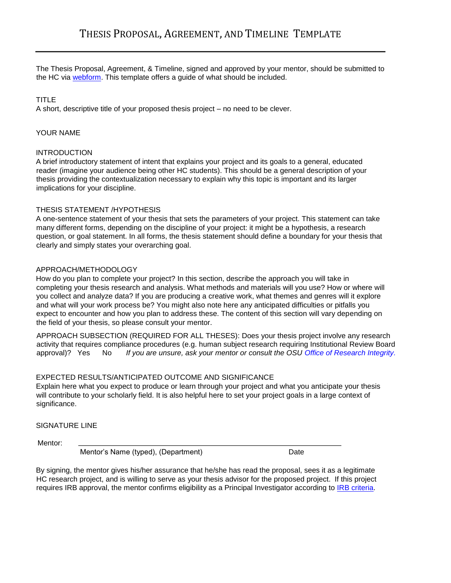The Thesis Proposal, Agreement, & Timeline, signed and approved by your mentor, should be submitted to the HC via [webform. Th](http://oregonstate.qualtrics.com/SE/?SID=SV_8cvnySnCY3bQnWt)is template offers a guide of what should be included.

## TITLE

A short, descriptive title of your proposed thesis project – no need to be clever.

### YOUR NAME

### **INTRODUCTION**

A brief introductory statement of intent that explains your project and its goals to a general, educated reader (imagine your audience being other HC students). This should be a general description of your thesis providing the contextualization necessary to explain why this topic is important and its larger implications for your discipline.

### THESIS STATEMENT /HYPOTHESIS

A one-sentence statement of your thesis that sets the parameters of your project. This statement can take many different forms, depending on the discipline of your project: it might be a hypothesis, a research question, or goal statement. In all forms, the thesis statement should define a boundary for your thesis that clearly and simply states your overarching goal.

### APPROACH/METHODOLOGY

How do you plan to complete your project? In this section, describe the approach you will take in completing your thesis research and analysis. What methods and materials will you use? How or where will you collect and analyze data? If you are producing a creative work, what themes and genres will it explore and what will your work process be? You might also note here any anticipated difficulties or pitfalls you expect to encounter and how you plan to address these. The content of this section will vary depending on the field of your thesis, so please consult your mentor.

APPROACH SUBSECTION (REQUIRED FOR ALL THESES): Does your thesis project involve any research activity that requires compliance procedures (e.g. human subject research requiring Institutional Review Board approval)? Yes No *If you are unsure, ask your mentor or consult the OSU [Office of Research Integrity.](http://oregonstate.edu/research/ori)*

### EXPECTED RESULTS/ANTICIPATED OUTCOME AND SIGNIFICANCE

Explain here what you expect to produce or learn through your project and what you anticipate your thesis will contribute to your scholarly field. It is also helpful here to set your project goals in a large context of significance.

SIGNATURE LINE

Mentor:

Mentor's Name (typed), (Department) Date

By signing, the mentor gives his/her assurance that he/she has read the proposal, sees it as a legitimate HC research project, and is willing to serve as your thesis advisor for the proposed project. If this project requires IRB approval, the mentor confirms eligibility as a Principal Investigator according to [IRB criteria.](http://research.oregonstate.edu/irb/frequently-asked-questions/who-can-be-principal-investigator-pi)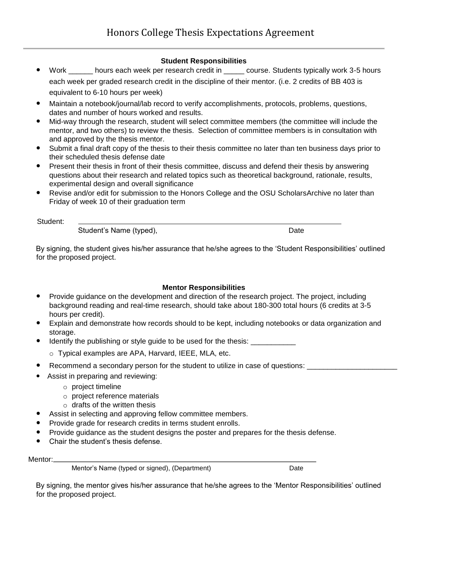### **Student Responsibilities**

- Work hours each week per research credit in course. Students typically work 3-5 hours each week per graded research credit in the discipline of their mentor. (i.e. 2 credits of BB 403 is equivalent to 6-10 hours per week)
- Maintain a notebook/journal/lab record to verify accomplishments, protocols, problems, questions, dates and number of hours worked and results.
- Mid-way through the research, student will select committee members (the committee will include the mentor, and two others) to review the thesis. Selection of committee members is in consultation with and approved by the thesis mentor.
- Submit a final draft copy of the thesis to their thesis committee no later than ten business days prior to their scheduled thesis defense date
- Present their thesis in front of their thesis committee, discuss and defend their thesis by answering questions about their research and related topics such as theoretical background, rationale, results, experimental design and overall significance
- Revise and/or edit for submission to the Honors College and the OSU ScholarsArchive no later than Friday of week 10 of their graduation term

Student:

Student's Name (typed), The Contract of the Date Date

By signing, the student gives his/her assurance that he/she agrees to the 'Student Responsibilities' outlined for the proposed project.

# **Mentor Responsibilities**

- Provide guidance on the development and direction of the research project. The project, including background reading and real-time research, should take about 180-300 total hours (6 credits at 3-5 hours per credit).
- Explain and demonstrate how records should to be kept, including notebooks or data organization and storage.
- Identify the publishing or style guide to be used for the thesis:
	- o Typical examples are APA, Harvard, IEEE, MLA, etc.
- Recommend a secondary person for the student to utilize in case of questions:
- Assist in preparing and reviewing:
	- o project timeline
	- o project reference materials
	- $\circ$  drafts of the written thesis
- Assist in selecting and approving fellow committee members.
- Provide grade for research credits in terms student enrolls.
- Provide guidance as the student designs the poster and prepares for the thesis defense.
- Chair the student's thesis defense.

#### Mentor:

Mentor's Name (typed or signed), (Department) Date

By signing, the mentor gives his/her assurance that he/she agrees to the 'Mentor Responsibilities' outlined for the proposed project.